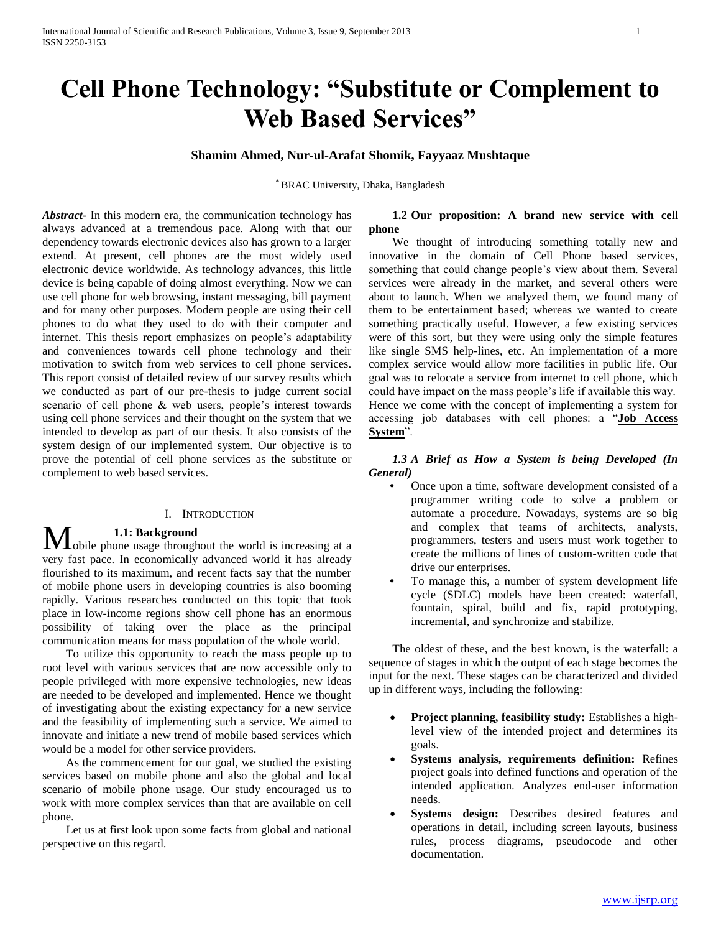# **Cell Phone Technology: "Substitute or Complement to Web Based Services"**

# **Shamim Ahmed, Nur-ul-Arafat Shomik, Fayyaaz Mushtaque**

\* BRAC University, Dhaka, Bangladesh

*Abstract***-** In this modern era, the communication technology has always advanced at a tremendous pace. Along with that our dependency towards electronic devices also has grown to a larger extend. At present, cell phones are the most widely used electronic device worldwide. As technology advances, this little device is being capable of doing almost everything. Now we can use cell phone for web browsing, instant messaging, bill payment and for many other purposes. Modern people are using their cell phones to do what they used to do with their computer and internet. This thesis report emphasizes on people's adaptability and conveniences towards cell phone technology and their motivation to switch from web services to cell phone services. This report consist of detailed review of our survey results which we conducted as part of our pre-thesis to judge current social scenario of cell phone & web users, people's interest towards using cell phone services and their thought on the system that we intended to develop as part of our thesis. It also consists of the system design of our implemented system. Our objective is to prove the potential of cell phone services as the substitute or complement to web based services.

#### I. INTRODUCTION

#### **1.1: Background**

**M** obile phone usage throughout the world is increasing at a  $\blacksquare$ very fast pace. In economically advanced world it has already flourished to its maximum, and recent facts say that the number of mobile phone users in developing countries is also booming rapidly. Various researches conducted on this topic that took place in low-income regions show cell phone has an enormous possibility of taking over the place as the principal communication means for mass population of the whole world.

 To utilize this opportunity to reach the mass people up to root level with various services that are now accessible only to people privileged with more expensive technologies, new ideas are needed to be developed and implemented. Hence we thought of investigating about the existing expectancy for a new service and the feasibility of implementing such a service. We aimed to innovate and initiate a new trend of mobile based services which would be a model for other service providers.

 As the commencement for our goal, we studied the existing services based on mobile phone and also the global and local scenario of mobile phone usage. Our study encouraged us to work with more complex services than that are available on cell phone.

 Let us at first look upon some facts from global and national perspective on this regard.

# **1.2 Our proposition: A brand new service with cell phone**

 We thought of introducing something totally new and innovative in the domain of Cell Phone based services, something that could change people's view about them. Several services were already in the market, and several others were about to launch. When we analyzed them, we found many of them to be entertainment based; whereas we wanted to create something practically useful. However, a few existing services were of this sort, but they were using only the simple features like single SMS help-lines, etc. An implementation of a more complex service would allow more facilities in public life. Our goal was to relocate a service from internet to cell phone, which could have impact on the mass people's life if available this way. Hence we come with the concept of implementing a system for accessing job databases with cell phones: a "**Job Access System**".

 *1.3 A Brief as How a System is being Developed (In General)*

- **•** Once upon a time, software development consisted of a programmer writing code to solve a problem or automate a procedure. Nowadays, systems are so big and complex that teams of architects, analysts, programmers, testers and users must work together to create the millions of lines of custom-written code that drive our enterprises.
- **•** To manage this, a number of system development life cycle (SDLC) models have been created: waterfall, fountain, spiral, build and fix, rapid prototyping, incremental, and synchronize and stabilize.

 The oldest of these, and the best known, is the waterfall: a sequence of stages in which the output of each stage becomes the input for the next. These stages can be characterized and divided up in different ways, including the following:

- **Project planning, feasibility study:** Establishes a highlevel view of the intended project and determines its goals.
- **Systems analysis, requirements definition:** Refines project goals into defined functions and operation of the intended application. Analyzes end-user information needs.
- **Systems design:** Describes desired features and operations in detail, including screen layouts, business rules, process diagrams, pseudocode and other documentation.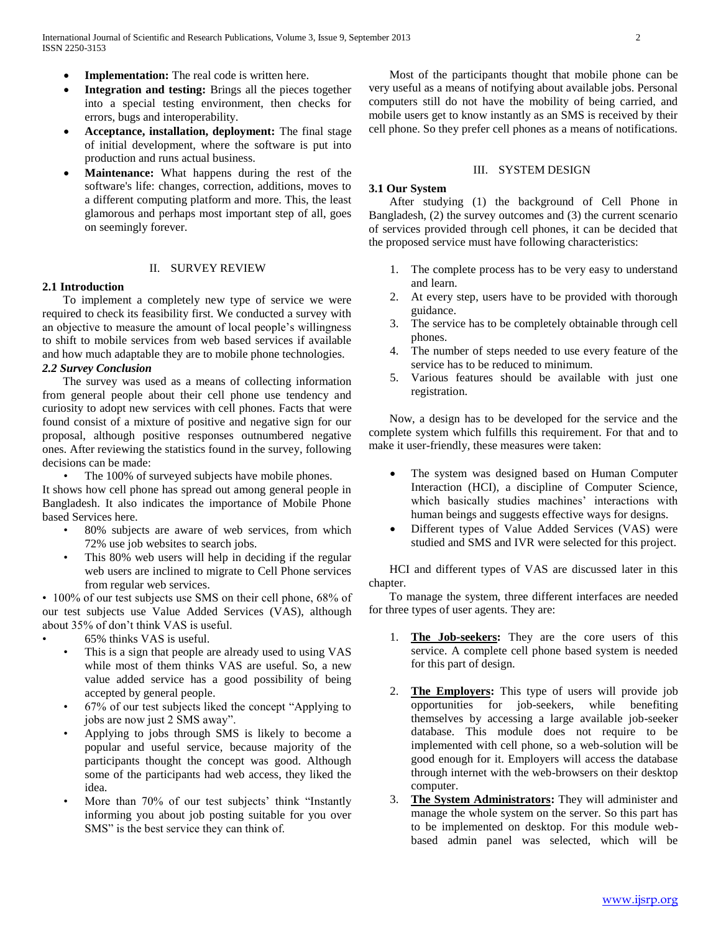- **Implementation:** The real code is written here.
- **Integration and testing:** Brings all the pieces together into a special testing environment, then checks for errors, bugs and interoperability.
- **Acceptance, installation, deployment:** The final stage of initial development, where the software is put into production and runs actual business.
- **Maintenance:** What happens during the rest of the software's life: changes, correction, additions, moves to a different computing platform and more. This, the least glamorous and perhaps most important step of all, goes on seemingly forever.

#### II. SURVEY REVIEW

# **2.1 Introduction**

 To implement a completely new type of service we were required to check its feasibility first. We conducted a survey with an objective to measure the amount of local people's willingness to shift to mobile services from web based services if available and how much adaptable they are to mobile phone technologies. *2.2 Survey Conclusion*

 The survey was used as a means of collecting information from general people about their cell phone use tendency and curiosity to adopt new services with cell phones. Facts that were found consist of a mixture of positive and negative sign for our proposal, although positive responses outnumbered negative ones. After reviewing the statistics found in the survey, following decisions can be made:

The 100% of surveyed subjects have mobile phones.

It shows how cell phone has spread out among general people in Bangladesh. It also indicates the importance of Mobile Phone based Services here.

- 80% subjects are aware of web services, from which 72% use job websites to search jobs.
- This 80% web users will help in deciding if the regular web users are inclined to migrate to Cell Phone services from regular web services.

• 100% of our test subjects use SMS on their cell phone, 68% of our test subjects use Value Added Services (VAS), although about 35% of don't think VAS is useful.

- 65% thinks VAS is useful.
- This is a sign that people are already used to using VAS while most of them thinks VAS are useful. So, a new value added service has a good possibility of being accepted by general people.
- 67% of our test subjects liked the concept "Applying to jobs are now just 2 SMS away".
- Applying to jobs through SMS is likely to become a popular and useful service, because majority of the participants thought the concept was good. Although some of the participants had web access, they liked the idea.
- More than 70% of our test subjects' think "Instantly informing you about job posting suitable for you over SMS" is the best service they can think of.

 Most of the participants thought that mobile phone can be very useful as a means of notifying about available jobs. Personal computers still do not have the mobility of being carried, and mobile users get to know instantly as an SMS is received by their cell phone. So they prefer cell phones as a means of notifications.

#### III. SYSTEM DESIGN

#### **3.1 Our System**

 After studying (1) the background of Cell Phone in Bangladesh, (2) the survey outcomes and (3) the current scenario of services provided through cell phones, it can be decided that the proposed service must have following characteristics:

- 1. The complete process has to be very easy to understand and learn.
- 2. At every step, users have to be provided with thorough guidance.
- 3. The service has to be completely obtainable through cell phones.
- 4. The number of steps needed to use every feature of the service has to be reduced to minimum.
- 5. Various features should be available with just one registration.

 Now, a design has to be developed for the service and the complete system which fulfills this requirement. For that and to make it user-friendly, these measures were taken:

- The system was designed based on Human Computer Interaction (HCI), a discipline of Computer Science, which basically studies machines' interactions with human beings and suggests effective ways for designs.
- Different types of Value Added Services (VAS) were studied and SMS and IVR were selected for this project.

 HCI and different types of VAS are discussed later in this chapter.

 To manage the system, three different interfaces are needed for three types of user agents. They are:

- 1. **The Job-seekers:** They are the core users of this service. A complete cell phone based system is needed for this part of design.
- 2. **The Employers:** This type of users will provide job opportunities for job-seekers, while benefiting themselves by accessing a large available job-seeker database. This module does not require to be implemented with cell phone, so a web-solution will be good enough for it. Employers will access the database through internet with the web-browsers on their desktop computer.
- 3. **The System Administrators:** They will administer and manage the whole system on the server. So this part has to be implemented on desktop. For this module webbased admin panel was selected, which will be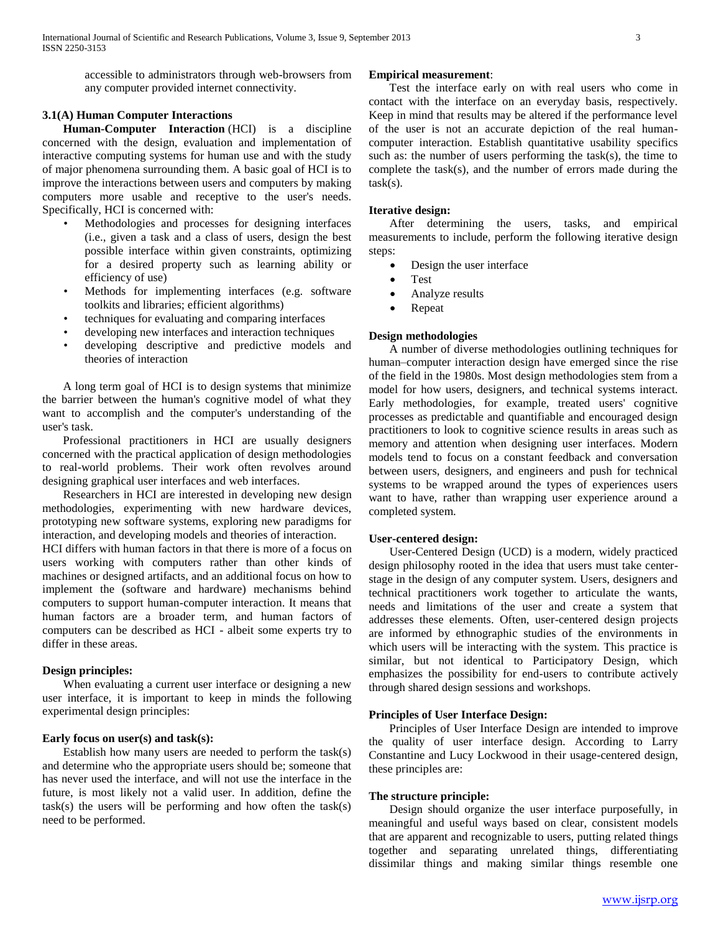accessible to administrators through web-browsers from any computer provided internet connectivity.

# **3.1(A) Human Computer Interactions**

 **Human-Computer Interaction** (HCI) is a discipline concerned with the design, evaluation and implementation of interactive computing systems for human use and with the study of major phenomena surrounding them. A basic goal of HCI is to improve the interactions between users and computers by making computers more usable and receptive to the user's needs. Specifically, HCI is concerned with:

- Methodologies and processes for designing interfaces (i.e., given a task and a class of users, design the best possible interface within given constraints, optimizing for a desired property such as learning ability or efficiency of use)
- Methods for implementing interfaces (e.g. software toolkits and libraries; efficient algorithms)
- techniques for evaluating and comparing interfaces
- developing new interfaces and interaction techniques
- developing descriptive and predictive models and theories of interaction

 A long term goal of HCI is to design systems that minimize the barrier between the human's cognitive model of what they want to accomplish and the computer's understanding of the user's task.

 Professional practitioners in HCI are usually designers concerned with the practical application of design methodologies to real-world problems. Their work often revolves around designing graphical user interfaces and web interfaces.

 Researchers in HCI are interested in developing new design methodologies, experimenting with new hardware devices, prototyping new software systems, exploring new paradigms for interaction, and developing models and theories of interaction.

HCI differs with human factors in that there is more of a focus on users working with computers rather than other kinds of machines or designed artifacts, and an additional focus on how to implement the (software and hardware) mechanisms behind computers to support human-computer interaction. It means that human factors are a broader term, and human factors of computers can be described as HCI - albeit some experts try to differ in these areas.

#### **Design principles:**

 When evaluating a current user interface or designing a new user interface, it is important to keep in minds the following experimental design principles:

#### **Early focus on user(s) and task(s):**

 Establish how many users are needed to perform the task(s) and determine who the appropriate users should be; someone that has never used the interface, and will not use the interface in the future, is most likely not a valid user. In addition, define the  $task(s)$  the users will be performing and how often the  $task(s)$ need to be performed.

# **Empirical measurement**:

 Test the interface early on with real users who come in contact with the interface on an everyday basis, respectively. Keep in mind that results may be altered if the performance level of the user is not an accurate depiction of the real humancomputer interaction. Establish quantitative usability specifics such as: the number of users performing the task(s), the time to complete the task(s), and the number of errors made during the  $task(s)$ .

#### **Iterative design:**

 After determining the users, tasks, and empirical measurements to include, perform the following iterative design steps:

- Design the user interface
- Test
- Analyze results
- Repeat

#### **Design methodologies**

 A number of diverse methodologies outlining techniques for human–computer interaction design have emerged since the rise of the field in the 1980s. Most design methodologies stem from a model for how users, designers, and technical systems interact. Early methodologies, for example, treated users' cognitive processes as predictable and quantifiable and encouraged design practitioners to look to cognitive science results in areas such as memory and attention when designing user interfaces. Modern models tend to focus on a constant feedback and conversation between users, designers, and engineers and push for technical systems to be wrapped around the types of experiences users want to have, rather than wrapping user experience around a completed system.

#### **User-centered design:**

 User-Centered Design (UCD) is a modern, widely practiced design philosophy rooted in the idea that users must take centerstage in the design of any computer system. Users, designers and technical practitioners work together to articulate the wants, needs and limitations of the user and create a system that addresses these elements. Often, user-centered design projects are informed by ethnographic studies of the environments in which users will be interacting with the system. This practice is similar, but not identical to Participatory Design, which emphasizes the possibility for end-users to contribute actively through shared design sessions and workshops.

### **Principles of User Interface Design:**

 Principles of User Interface Design are intended to improve the quality of user interface design. According to Larry Constantine and Lucy Lockwood in their usage-centered design, these principles are:

# **The structure principle:**

 Design should organize the user interface purposefully, in meaningful and useful ways based on clear, consistent models that are apparent and recognizable to users, putting related things together and separating unrelated things, differentiating dissimilar things and making similar things resemble one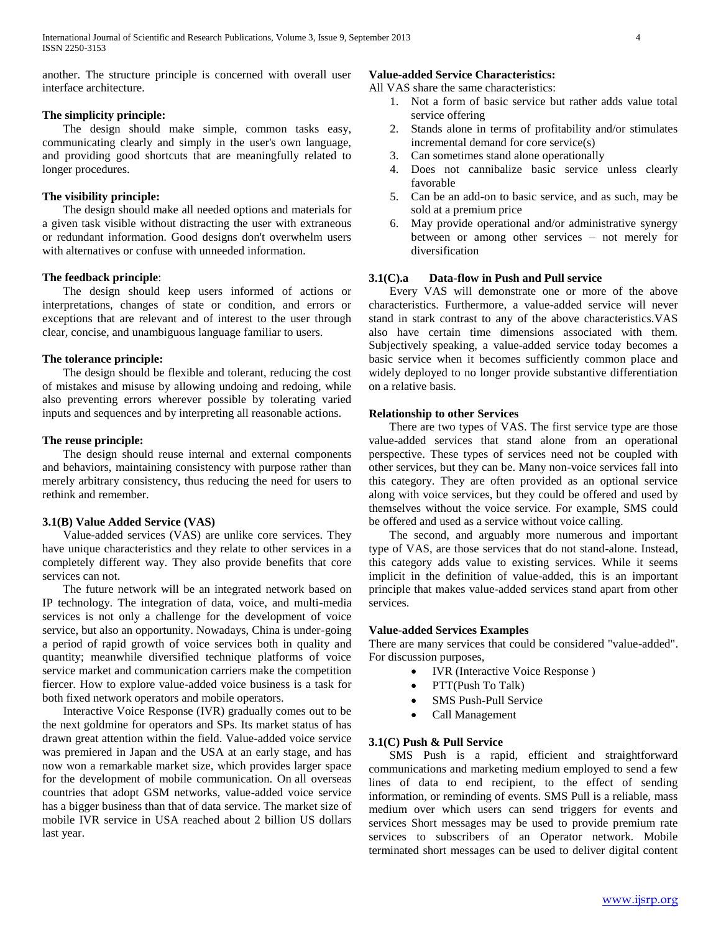another. The structure principle is concerned with overall user interface architecture.

# **The simplicity principle:**

 The design should make simple, common tasks easy, communicating clearly and simply in the user's own language, and providing good shortcuts that are meaningfully related to longer procedures.

# **The visibility principle:**

 The design should make all needed options and materials for a given task visible without distracting the user with extraneous or redundant information. Good designs don't overwhelm users with alternatives or confuse with unneeded information.

# **The feedback principle**:

 The design should keep users informed of actions or interpretations, changes of state or condition, and errors or exceptions that are relevant and of interest to the user through clear, concise, and unambiguous language familiar to users.

# **The tolerance principle:**

 The design should be flexible and tolerant, reducing the cost of mistakes and misuse by allowing undoing and redoing, while also preventing errors wherever possible by tolerating varied inputs and sequences and by interpreting all reasonable actions.

#### **The reuse principle:**

 The design should reuse internal and external components and behaviors, maintaining consistency with purpose rather than merely arbitrary consistency, thus reducing the need for users to rethink and remember.

# **3.1(B) Value Added Service (VAS)**

 Value-added services (VAS) are unlike core services. They have unique characteristics and they relate to other services in a completely different way. They also provide benefits that core services can not.

 The future network will be an integrated network based on IP technology. The integration of data, voice, and multi-media services is not only a challenge for the development of voice service, but also an opportunity. Nowadays, China is under-going a period of rapid growth of voice services both in quality and quantity; meanwhile diversified technique platforms of voice service market and communication carriers make the competition fiercer. How to explore value-added voice business is a task for both fixed network operators and mobile operators.

 Interactive Voice Response (IVR) gradually comes out to be the next goldmine for operators and SPs. Its market status of has drawn great attention within the field. Value-added voice service was premiered in Japan and the USA at an early stage, and has now won a remarkable market size, which provides larger space for the development of mobile communication. On all overseas countries that adopt GSM networks, value-added voice service has a bigger business than that of data service. The market size of mobile IVR service in USA reached about 2 billion US dollars last year.

# **Value-added Service Characteristics:**

All VAS share the same characteristics:

- 1. Not a form of basic service but rather adds value total service offering
- 2. Stands alone in terms of profitability and/or stimulates incremental demand for core service(s)
- 3. Can sometimes stand alone operationally
- 4. Does not cannibalize basic service unless clearly favorable
- 5. Can be an add-on to basic service, and as such, may be sold at a premium price
- 6. May provide operational and/or administrative synergy between or among other services – not merely for diversification

# **3.1(C).a Data-flow in Push and Pull service**

 Every VAS will demonstrate one or more of the above characteristics. Furthermore, a value-added service will never stand in stark contrast to any of the above characteristics.VAS also have certain time dimensions associated with them. Subjectively speaking, a value-added service today becomes a basic service when it becomes sufficiently common place and widely deployed to no longer provide substantive differentiation on a relative basis.

# **Relationship to other Services**

 There are two types of VAS. The first service type are those value-added services that stand alone from an operational perspective. These types of services need not be coupled with other services, but they can be. Many non-voice services fall into this category. They are often provided as an optional service along with voice services, but they could be offered and used by themselves without the voice service. For example, SMS could be offered and used as a service without voice calling.

 The second, and arguably more numerous and important type of VAS, are those services that do not stand-alone. Instead, this category adds value to existing services. While it seems implicit in the definition of value-added, this is an important principle that makes value-added services stand apart from other services.

#### **Value-added Services Examples**

There are many services that could be considered "value-added". For discussion purposes,

- IVR (Interactive Voice Response)
- PTT(Push To Talk)
- SMS Push-Pull Service
- Call Management

#### **3.1(C) Push & Pull Service**

 SMS Push is a rapid, efficient and straightforward communications and marketing medium employed to send a few lines of data to end recipient, to the effect of sending information, or reminding of events. SMS Pull is a reliable, mass medium over which users can send triggers for events and services Short messages may be used to provide premium rate services to subscribers of an Operator network. Mobile terminated short messages can be used to deliver digital content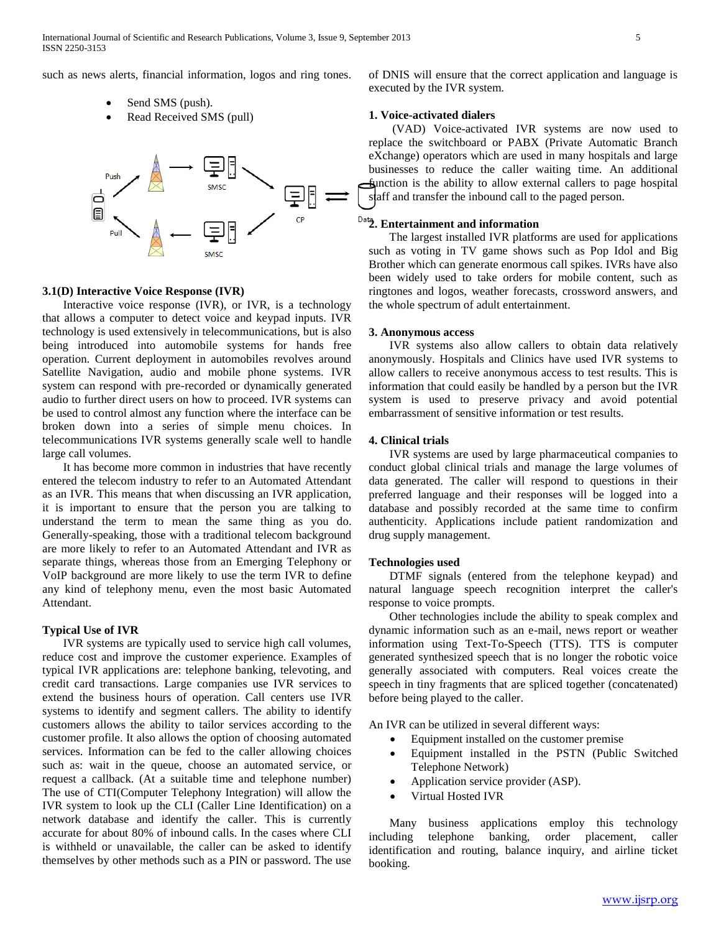such as news alerts, financial information, logos and ring tones.

- Send SMS (push).
- Read Received SMS (pull)



# **3.1(D) Interactive Voice Response (IVR)**

 Interactive voice response (IVR), or IVR, is a technology that allows a computer to detect voice and keypad inputs. IVR technology is used extensively in telecommunications, but is also being introduced into automobile systems for hands free operation. Current deployment in automobiles revolves around Satellite Navigation, audio and mobile phone systems. IVR system can respond with pre-recorded or dynamically generated audio to further direct users on how to proceed. IVR systems can be used to control almost any function where the interface can be broken down into a series of simple menu choices. In telecommunications IVR systems generally scale well to handle large call volumes.

 It has become more common in industries that have recently entered the telecom industry to refer to an Automated Attendant as an IVR. This means that when discussing an IVR application, it is important to ensure that the person you are talking to understand the term to mean the same thing as you do. Generally-speaking, those with a traditional telecom background are more likely to refer to an Automated Attendant and IVR as separate things, whereas those from an Emerging Telephony or VoIP background are more likely to use the term IVR to define any kind of telephony menu, even the most basic Automated Attendant.

#### **Typical Use of IVR**

 IVR systems are typically used to service high call volumes, reduce cost and improve the customer experience. Examples of typical IVR applications are: telephone banking, televoting, and credit card transactions. Large companies use IVR services to extend the business hours of operation. Call centers use IVR systems to identify and segment callers. The ability to identify customers allows the ability to tailor services according to the customer profile. It also allows the option of choosing automated services. Information can be fed to the caller allowing choices such as: wait in the queue, choose an automated service, or request a callback. (At a suitable time and telephone number) The use of CTI(Computer Telephony Integration) will allow the IVR system to look up the CLI (Caller Line Identification) on a network database and identify the caller. This is currently accurate for about 80% of inbound calls. In the cases where CLI is withheld or unavailable, the caller can be asked to identify themselves by other methods such as a PIN or password. The use of DNIS will ensure that the correct application and language is executed by the IVR system.

# **1. Voice-activated dialers**

 (VAD) Voice-activated IVR systems are now used to replace the switchboard or PABX (Private Automatic Branch eXchange) operators which are used in many hospitals and large businesses to reduce the caller waiting time. An additional function is the ability to allow external callers to page hospital staff and transfer the inbound call to the paged person.

# **2. Entertainment and information**

 The largest installed IVR platforms are used for applications such as voting in TV game shows such as Pop Idol and Big Brother which can generate enormous call spikes. IVRs have also been widely used to take orders for mobile content, such as ringtones and logos, weather forecasts, crossword answers, and the whole spectrum of adult entertainment.

# **3. Anonymous access**

 IVR systems also allow callers to obtain data relatively anonymously. Hospitals and Clinics have used IVR systems to allow callers to receive anonymous access to test results. This is information that could easily be handled by a person but the IVR system is used to preserve privacy and avoid potential embarrassment of sensitive information or test results.

# **4. Clinical trials**

 IVR systems are used by large pharmaceutical companies to conduct global clinical trials and manage the large volumes of data generated. The caller will respond to questions in their preferred language and their responses will be logged into a database and possibly recorded at the same time to confirm authenticity. Applications include patient randomization and drug supply management.

#### **Technologies used**

 DTMF signals (entered from the telephone keypad) and natural language speech recognition interpret the caller's response to voice prompts.

 Other technologies include the ability to speak complex and dynamic information such as an e-mail, news report or weather information using Text-To-Speech (TTS). TTS is computer generated synthesized speech that is no longer the robotic voice generally associated with computers. Real voices create the speech in tiny fragments that are spliced together (concatenated) before being played to the caller.

An IVR can be utilized in several different ways:

- Equipment installed on the customer premise
- Equipment installed in the PSTN (Public Switched Telephone Network)
- Application service provider (ASP).
- Virtual Hosted IVR

 Many business applications employ this technology including telephone banking, order placement, caller identification and routing, balance inquiry, and airline ticket booking.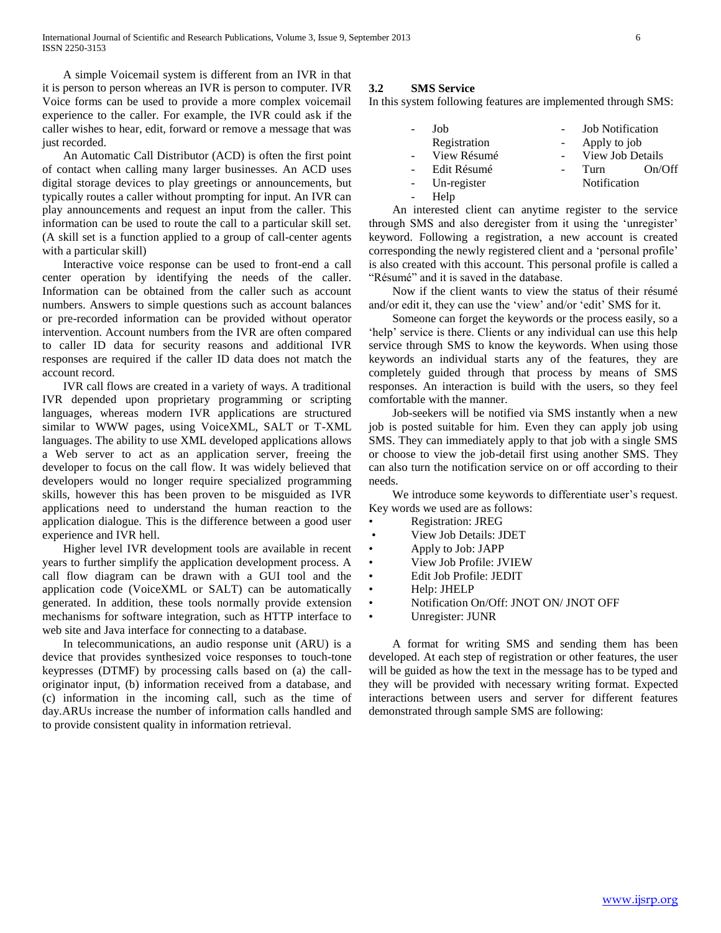A simple Voicemail system is different from an IVR in that it is person to person whereas an IVR is person to computer. IVR Voice forms can be used to provide a more complex voicemail experience to the caller. For example, the IVR could ask if the caller wishes to hear, edit, forward or remove a message that was just recorded.

 An Automatic Call Distributor (ACD) is often the first point of contact when calling many larger businesses. An ACD uses digital storage devices to play greetings or announcements, but typically routes a caller without prompting for input. An IVR can play announcements and request an input from the caller. This information can be used to route the call to a particular skill set. (A skill set is a function applied to a group of call-center agents with a particular skill)

 Interactive voice response can be used to front-end a call center operation by identifying the needs of the caller. Information can be obtained from the caller such as account numbers. Answers to simple questions such as account balances or pre-recorded information can be provided without operator intervention. Account numbers from the IVR are often compared to caller ID data for security reasons and additional IVR responses are required if the caller ID data does not match the account record.

 IVR call flows are created in a variety of ways. A traditional IVR depended upon proprietary programming or scripting languages, whereas modern IVR applications are structured similar to WWW pages, using VoiceXML, SALT or T-XML languages. The ability to use XML developed applications allows a Web server to act as an application server, freeing the developer to focus on the call flow. It was widely believed that developers would no longer require specialized programming skills, however this has been proven to be misguided as IVR applications need to understand the human reaction to the application dialogue. This is the difference between a good user experience and IVR hell.

 Higher level IVR development tools are available in recent years to further simplify the application development process. A call flow diagram can be drawn with a GUI tool and the application code (VoiceXML or SALT) can be automatically generated. In addition, these tools normally provide extension mechanisms for software integration, such as HTTP interface to web site and Java interface for connecting to a database.

 In telecommunications, an audio response unit (ARU) is a device that provides synthesized voice responses to touch-tone keypresses (DTMF) by processing calls based on (a) the calloriginator input, (b) information received from a database, and (c) information in the incoming call, such as the time of day.ARUs increase the number of information calls handled and to provide consistent quality in information retrieval.

# **3.2 SMS Service**

In this system following features are implemented through SMS:

|    | Job          | <b>Job Notification</b> |        |
|----|--------------|-------------------------|--------|
|    | Registration | Apply to job            |        |
|    | View Résumé  | View Job Details        |        |
|    | Edit Résumé  | Turn                    | On/Off |
|    | Un-register  | Notification            |        |
| ÷, | Help         |                         |        |

 An interested client can anytime register to the service through SMS and also deregister from it using the 'unregister' keyword. Following a registration, a new account is created corresponding the newly registered client and a 'personal profile' is also created with this account. This personal profile is called a "Résumé" and it is saved in the database.

 Now if the client wants to view the status of their résumé and/or edit it, they can use the 'view' and/or 'edit' SMS for it.

 Someone can forget the keywords or the process easily, so a 'help' service is there. Clients or any individual can use this help service through SMS to know the keywords. When using those keywords an individual starts any of the features, they are completely guided through that process by means of SMS responses. An interaction is build with the users, so they feel comfortable with the manner.

 Job-seekers will be notified via SMS instantly when a new job is posted suitable for him. Even they can apply job using SMS. They can immediately apply to that job with a single SMS or choose to view the job-detail first using another SMS. They can also turn the notification service on or off according to their needs.

 We introduce some keywords to differentiate user's request. Key words we used are as follows:

- Registration: JREG
- View Job Details: JDET
- Apply to Job: JAPP
- View Job Profile: JVIEW
- Edit Job Profile: JEDIT
- Help: JHELP
- Notification On/Off: JNOT ON/ JNOT OFF
- Unregister: JUNR

 A format for writing SMS and sending them has been developed. At each step of registration or other features, the user will be guided as how the text in the message has to be typed and they will be provided with necessary writing format. Expected interactions between users and server for different features demonstrated through sample SMS are following: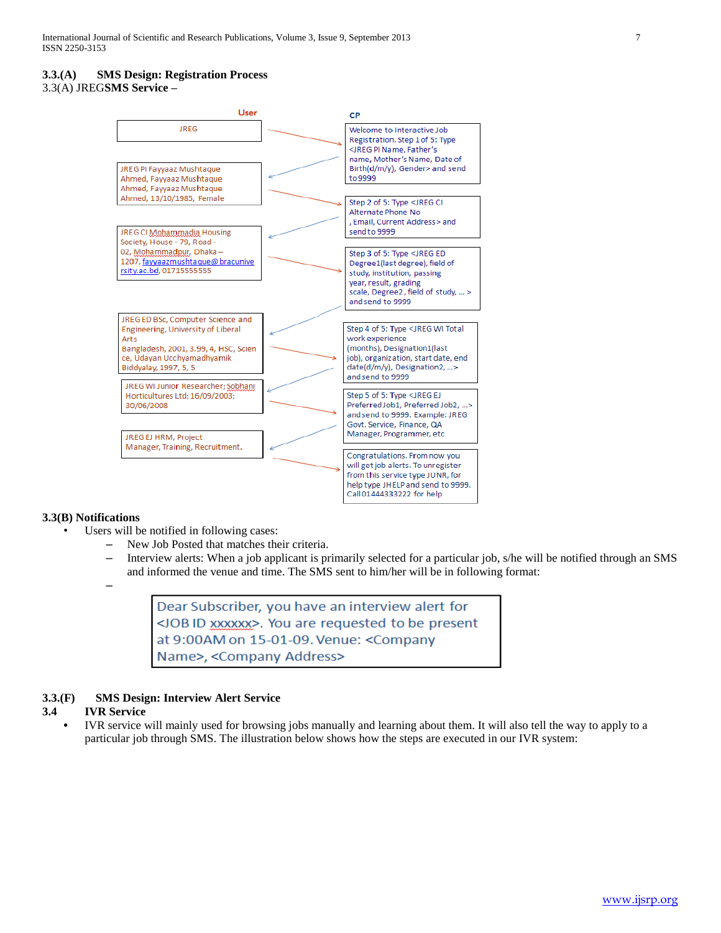# **3.3.(A) SMS Design: Registration Process**

3.3(A) JREG**SMS Service –** 



# **3.3(B) Notifications**

- Users will be notified in following cases:
	- New Job Posted that matches their criteria.
	- Interview alerts: When a job applicant is primarily selected for a particular job, s/he will be notified through an SMS and informed the venue and time. The SMS sent to him/her will be in following format:

–

Dear Subscriber, you have an interview alert for <JOB ID xxxxxx>. You are requested to be present at 9:00AM on 15-01-09. Venue: < Company Name>, <Company Address>

# **3.3.(F) SMS Design: Interview Alert Service**

# **3.4 IVR Service**

**•** IVR service will mainly used for browsing jobs manually and learning about them. It will also tell the way to apply to a particular job through SMS. The illustration below shows how the steps are executed in our IVR system: